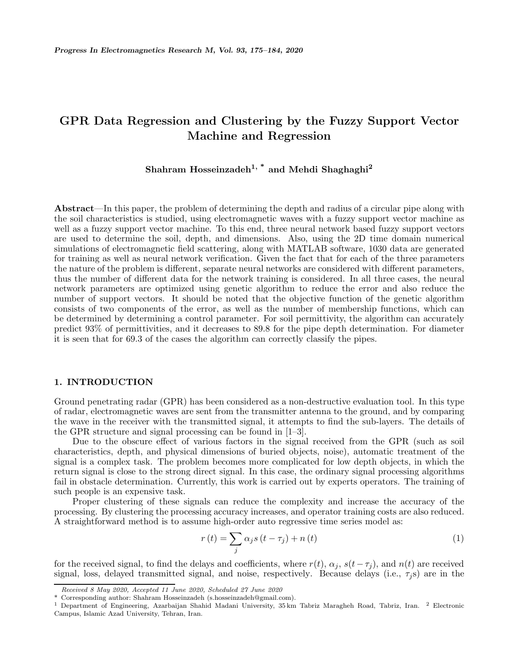# **GPR Data Regression and Clustering by the Fuzzy Support Vector Machine and Regression**

# **Shahram Hosseinzadeh1, \* and Mehdi Shaghaghi<sup>2</sup>**

**Abstract**—In this paper, the problem of determining the depth and radius of a circular pipe along with the soil characteristics is studied, using electromagnetic waves with a fuzzy support vector machine as well as a fuzzy support vector machine. To this end, three neural network based fuzzy support vectors are used to determine the soil, depth, and dimensions. Also, using the 2D time domain numerical simulations of electromagnetic field scattering, along with MATLAB software, 1030 data are generated for training as well as neural network verification. Given the fact that for each of the three parameters the nature of the problem is different, separate neural networks are considered with different parameters, thus the number of different data for the network training is considered. In all three cases, the neural network parameters are optimized using genetic algorithm to reduce the error and also reduce the number of support vectors. It should be noted that the objective function of the genetic algorithm consists of two components of the error, as well as the number of membership functions, which can be determined by determining a control parameter. For soil permittivity, the algorithm can accurately predict 93% of permittivities, and it decreases to 89.8 for the pipe depth determination. For diameter it is seen that for 69.3 of the cases the algorithm can correctly classify the pipes.

# **1. INTRODUCTION**

Ground penetrating radar (GPR) has been considered as a non-destructive evaluation tool. In this type of radar, electromagnetic waves are sent from the transmitter antenna to the ground, and by comparing the wave in the receiver with the transmitted signal, it attempts to find the sub-layers. The details of the GPR structure and signal processing can be found in [1–3].

Due to the obscure effect of various factors in the signal received from the GPR (such as soil characteristics, depth, and physical dimensions of buried objects, noise), automatic treatment of the signal is a complex task. The problem becomes more complicated for low depth objects, in which the return signal is close to the strong direct signal. In this case, the ordinary signal processing algorithms fail in obstacle determination. Currently, this work is carried out by experts operators. The training of such people is an expensive task.

Proper clustering of these signals can reduce the complexity and increase the accuracy of the processing. By clustering the processing accuracy increases, and operator training costs are also reduced. A straightforward method is to assume high-order auto regressive time series model as:

$$
r(t) = \sum_{j} \alpha_{j} s(t - \tau_{j}) + n(t)
$$
\n(1)

for the received signal, to find the delays and coefficients, where  $r(t)$ ,  $\alpha_i$ ,  $s(t-\tau_i)$ , and  $n(t)$  are received signal, loss, delayed transmitted signal, and noise, respectively. Because delays (i.e.,  $\tau_i$ s) are in the

*Received 8 May 2020, Accepted 11 June 2020, Scheduled 27 June 2020*

<sup>\*</sup> Corresponding author: Shahram Hosseinzadeh (s.hosseinzadeh@gmail.com).

<sup>1</sup> Department of Engineering, Azarbaijan Shahid Madani University, 35 km Tabriz Maragheh Road, Tabriz, Iran. <sup>2</sup> Electronic Campus, Islamic Azad University, Tehran, Iran.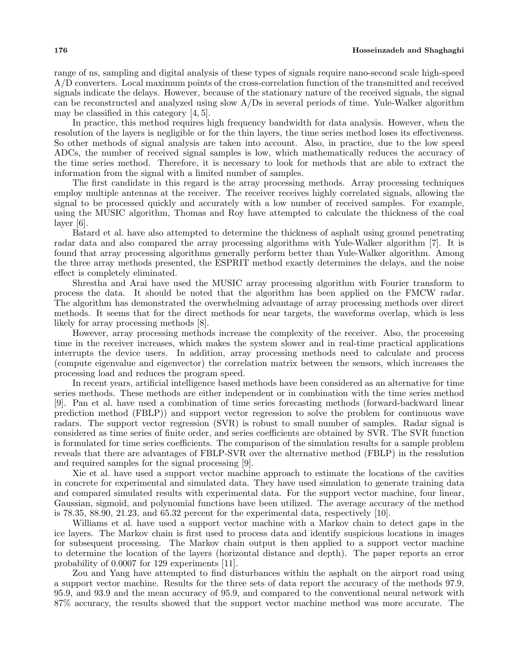range of ns, sampling and digital analysis of these types of signals require nano-second scale high-speed A/D converters. Local maximum points of the cross-correlation function of the transmitted and received signals indicate the delays. However, because of the stationary nature of the received signals, the signal can be reconstructed and analyzed using slow A/Ds in several periods of time. Yule-Walker algorithm may be classified in this category [4, 5].

In practice, this method requires high frequency bandwidth for data analysis. However, when the resolution of the layers is negligible or for the thin layers, the time series method loses its effectiveness. So other methods of signal analysis are taken into account. Also, in practice, due to the low speed ADCs, the number of received signal samples is low, which mathematically reduces the accuracy of the time series method. Therefore, it is necessary to look for methods that are able to extract the information from the signal with a limited number of samples.

The first candidate in this regard is the array processing methods. Array processing techniques employ multiple antennas at the receiver. The receiver receives highly correlated signals, allowing the signal to be processed quickly and accurately with a low number of received samples. For example, using the MUSIC algorithm, Thomas and Roy have attempted to calculate the thickness of the coal layer [6].

Batard et al. have also attempted to determine the thickness of asphalt using ground penetrating radar data and also compared the array processing algorithms with Yule-Walker algorithm [7]. It is found that array processing algorithms generally perform better than Yule-Walker algorithm. Among the three array methods presented, the ESPRIT method exactly determines the delays, and the noise effect is completely eliminated.

Shrestha and Arai have used the MUSIC array processing algorithm with Fourier transform to process the data. It should be noted that the algorithm has been applied on the FMCW radar. The algorithm has demonstrated the overwhelming advantage of array processing methods over direct methods. It seems that for the direct methods for near targets, the waveforms overlap, which is less likely for array processing methods [8].

However, array processing methods increase the complexity of the receiver. Also, the processing time in the receiver increases, which makes the system slower and in real-time practical applications interrupts the device users. In addition, array processing methods need to calculate and process (compute eigenvalue and eigenvector) the correlation matrix between the sensors, which increases the processing load and reduces the program speed.

In recent years, artificial intelligence based methods have been considered as an alternative for time series methods. These methods are either independent or in combination with the time series method [9]. Pan et al. have used a combination of time series forecasting methods (forward-backward linear prediction method (FBLP)) and support vector regression to solve the problem for continuous wave radars. The support vector regression (SVR) is robust to small number of samples. Radar signal is considered as time series of finite order, and series coefficients are obtained by SVR. The SVR function is formulated for time series coefficients. The comparison of the simulation results for a sample problem reveals that there are advantages of FBLP-SVR over the alternative method (FBLP) in the resolution and required samples for the signal processing [9].

Xie et al. have used a support vector machine approach to estimate the locations of the cavities in concrete for experimental and simulated data. They have used simulation to generate training data and compared simulated results with experimental data. For the support vector machine, four linear, Gaussian, sigmoid, and polynomial functions have been utilized. The average accuracy of the method is  $78.35$ ,  $88.90$ ,  $21.23$ , and  $65.32$  percent for the experimental data, respectively  $[10]$ .

Williams et al. have used a support vector machine with a Markov chain to detect gaps in the ice layers. The Markov chain is first used to process data and identify suspicious locations in images for subsequent processing. The Markov chain output is then applied to a support vector machine to determine the location of the layers (horizontal distance and depth). The paper reports an error probability of 0.0007 for 129 experiments [11].

Zou and Yang have attempted to find disturbances within the asphalt on the airport road using a support vector machine. Results for the three sets of data report the accuracy of the methods 97.9, 95.9, and 93.9 and the mean accuracy of 95.9, and compared to the conventional neural network with 87% accuracy, the results showed that the support vector machine method was more accurate. The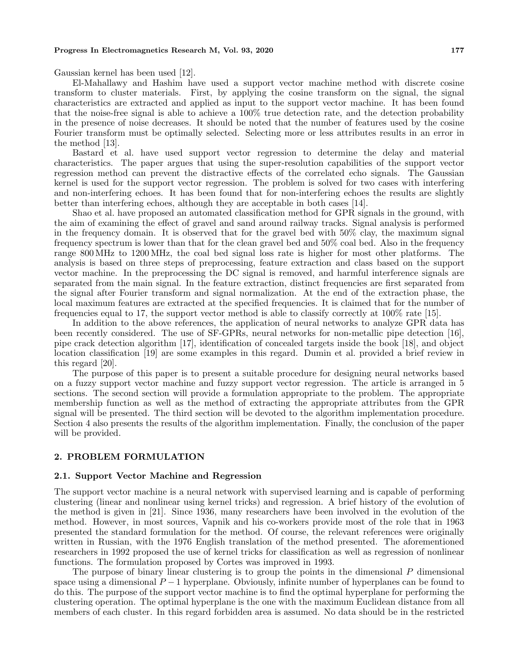#### **Progress In Electromagnetics Research M, Vol. 93, 2020** 177

Gaussian kernel has been used [12].

El-Mahallawy and Hashim have used a support vector machine method with discrete cosine transform to cluster materials. First, by applying the cosine transform on the signal, the signal characteristics are extracted and applied as input to the support vector machine. It has been found that the noise-free signal is able to achieve a 100% true detection rate, and the detection probability in the presence of noise decreases. It should be noted that the number of features used by the cosine Fourier transform must be optimally selected. Selecting more or less attributes results in an error in the method [13].

Bastard et al. have used support vector regression to determine the delay and material characteristics. The paper argues that using the super-resolution capabilities of the support vector regression method can prevent the distractive effects of the correlated echo signals. The Gaussian kernel is used for the support vector regression. The problem is solved for two cases with interfering and non-interfering echoes. It has been found that for non-interfering echoes the results are slightly better than interfering echoes, although they are acceptable in both cases [14].

Shao et al. have proposed an automated classification method for GPR signals in the ground, with the aim of examining the effect of gravel and sand around railway tracks. Signal analysis is performed in the frequency domain. It is observed that for the gravel bed with 50% clay, the maximum signal frequency spectrum is lower than that for the clean gravel bed and 50% coal bed. Also in the frequency range 800 MHz to 1200 MHz, the coal bed signal loss rate is higher for most other platforms. The analysis is based on three steps of preprocessing, feature extraction and class based on the support vector machine. In the preprocessing the DC signal is removed, and harmful interference signals are separated from the main signal. In the feature extraction, distinct frequencies are first separated from the signal after Fourier transform and signal normalization. At the end of the extraction phase, the local maximum features are extracted at the specified frequencies. It is claimed that for the number of frequencies equal to 17, the support vector method is able to classify correctly at 100% rate [15].

In addition to the above references, the application of neural networks to analyze GPR data has been recently considered. The use of SF-GPRs, neural networks for non-metallic pipe detection [16], pipe crack detection algorithm [17], identification of concealed targets inside the book [18], and object location classification [19] are some examples in this regard. Dumin et al. provided a brief review in this regard [20].

The purpose of this paper is to present a suitable procedure for designing neural networks based on a fuzzy support vector machine and fuzzy support vector regression. The article is arranged in 5 sections. The second section will provide a formulation appropriate to the problem. The appropriate membership function as well as the method of extracting the appropriate attributes from the GPR signal will be presented. The third section will be devoted to the algorithm implementation procedure. Section 4 also presents the results of the algorithm implementation. Finally, the conclusion of the paper will be provided.

# **2. PROBLEM FORMULATION**

#### **2.1. Support Vector Machine and Regression**

The support vector machine is a neural network with supervised learning and is capable of performing clustering (linear and nonlinear using kernel tricks) and regression. A brief history of the evolution of the method is given in [21]. Since 1936, many researchers have been involved in the evolution of the method. However, in most sources, Vapnik and his co-workers provide most of the role that in 1963 presented the standard formulation for the method. Of course, the relevant references were originally written in Russian, with the 1976 English translation of the method presented. The aforementioned researchers in 1992 proposed the use of kernel tricks for classification as well as regression of nonlinear functions. The formulation proposed by Cortes was improved in 1993.

The purpose of binary linear clustering is to group the points in the dimensional  $P$  dimensional space using a dimensional P *−* 1 hyperplane. Obviously, infinite number of hyperplanes can be found to do this. The purpose of the support vector machine is to find the optimal hyperplane for performing the clustering operation. The optimal hyperplane is the one with the maximum Euclidean distance from all members of each cluster. In this regard forbidden area is assumed. No data should be in the restricted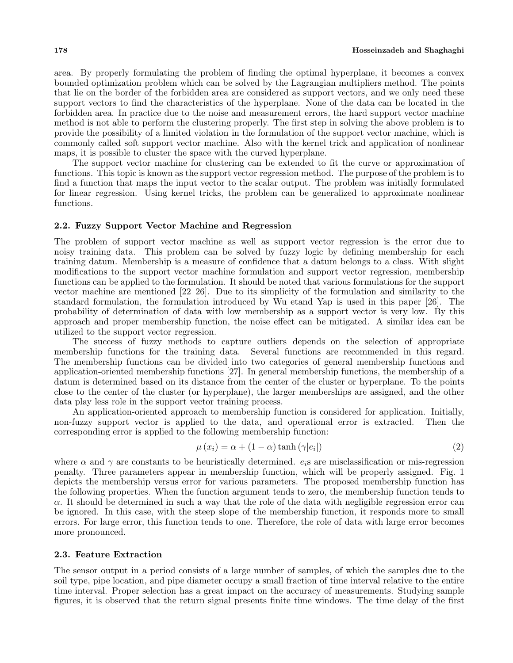area. By properly formulating the problem of finding the optimal hyperplane, it becomes a convex bounded optimization problem which can be solved by the Lagrangian multipliers method. The points that lie on the border of the forbidden area are considered as support vectors, and we only need these support vectors to find the characteristics of the hyperplane. None of the data can be located in the forbidden area. In practice due to the noise and measurement errors, the hard support vector machine method is not able to perform the clustering properly. The first step in solving the above problem is to provide the possibility of a limited violation in the formulation of the support vector machine, which is commonly called soft support vector machine. Also with the kernel trick and application of nonlinear maps, it is possible to cluster the space with the curved hyperplane.

The support vector machine for clustering can be extended to fit the curve or approximation of functions. This topic is known as the support vector regression method. The purpose of the problem is to find a function that maps the input vector to the scalar output. The problem was initially formulated for linear regression. Using kernel tricks, the problem can be generalized to approximate nonlinear functions.

# **2.2. Fuzzy Support Vector Machine and Regression**

The problem of support vector machine as well as support vector regression is the error due to noisy training data. This problem can be solved by fuzzy logic by defining membership for each training datum. Membership is a measure of confidence that a datum belongs to a class. With slight modifications to the support vector machine formulation and support vector regression, membership functions can be applied to the formulation. It should be noted that various formulations for the support vector machine are mentioned [22–26]. Due to its simplicity of the formulation and similarity to the standard formulation, the formulation introduced by Wu etand Yap is used in this paper [26]. The probability of determination of data with low membership as a support vector is very low. By this approach and proper membership function, the noise effect can be mitigated. A similar idea can be utilized to the support vector regression.

The success of fuzzy methods to capture outliers depends on the selection of appropriate membership functions for the training data. Several functions are recommended in this regard. The membership functions can be divided into two categories of general membership functions and application-oriented membership functions [27]. In general membership functions, the membership of a datum is determined based on its distance from the center of the cluster or hyperplane. To the points close to the center of the cluster (or hyperplane), the larger memberships are assigned, and the other data play less role in the support vector training process.

An application-oriented approach to membership function is considered for application. Initially, non-fuzzy support vector is applied to the data, and operational error is extracted. Then the corresponding error is applied to the following membership function:

$$
\mu(x_i) = \alpha + (1 - \alpha) \tanh(\gamma|e_i|)
$$
\n(2)

where  $\alpha$  and  $\gamma$  are constants to be heuristically determined.  $e_i$ s are misclassification or mis-regression penalty. Three parameters appear in membership function, which will be properly assigned. Fig. 1 depicts the membership versus error for various parameters. The proposed membership function has the following properties. When the function argument tends to zero, the membership function tends to  $\alpha$ . It should be determined in such a way that the role of the data with negligible regression error can be ignored. In this case, with the steep slope of the membership function, it responds more to small errors. For large error, this function tends to one. Therefore, the role of data with large error becomes more pronounced.

#### **2.3. Feature Extraction**

The sensor output in a period consists of a large number of samples, of which the samples due to the soil type, pipe location, and pipe diameter occupy a small fraction of time interval relative to the entire time interval. Proper selection has a great impact on the accuracy of measurements. Studying sample figures, it is observed that the return signal presents finite time windows. The time delay of the first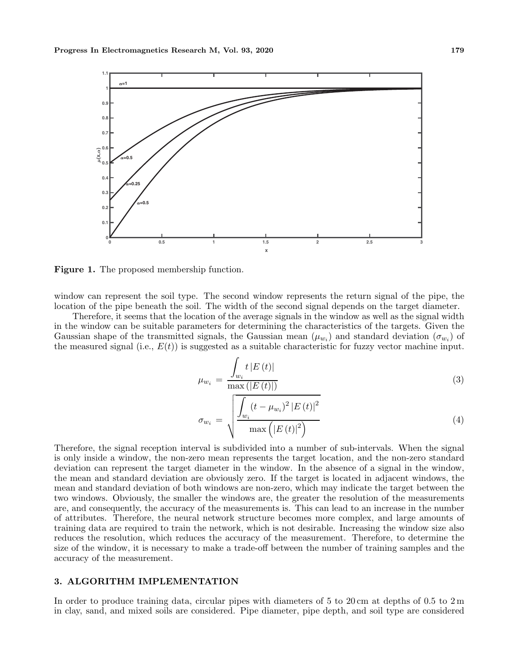

**Figure 1.** The proposed membership function.

window can represent the soil type. The second window represents the return signal of the pipe, the location of the pipe beneath the soil. The width of the second signal depends on the target diameter.

Therefore, it seems that the location of the average signals in the window as well as the signal width in the window can be suitable parameters for determining the characteristics of the targets. Given the Gaussian shape of the transmitted signals, the Gaussian mean  $(\mu_{w_i})$  and standard deviation  $(\sigma_{w_i})$  of the measured signal (i.e.,  $E(t)$ ) is suggested as a suitable characteristic for fuzzy vector machine input.

$$
\mu_{w_i} = \frac{\int_{w_i} t \left| E\left(t\right) \right|}{\max\left( \left| E\left(t\right) \right| \right)}\tag{3}
$$

$$
\sigma_{w_i} = \sqrt{\frac{\int_{w_i} (t - \mu_{w_i})^2 |E(t)|^2}{\max (|E(t)|^2)}}
$$
(4)

Therefore, the signal reception interval is subdivided into a number of sub-intervals. When the signal is only inside a window, the non-zero mean represents the target location, and the non-zero standard deviation can represent the target diameter in the window. In the absence of a signal in the window, the mean and standard deviation are obviously zero. If the target is located in adjacent windows, the mean and standard deviation of both windows are non-zero, which may indicate the target between the two windows. Obviously, the smaller the windows are, the greater the resolution of the measurements are, and consequently, the accuracy of the measurements is. This can lead to an increase in the number of attributes. Therefore, the neural network structure becomes more complex, and large amounts of training data are required to train the network, which is not desirable. Increasing the window size also reduces the resolution, which reduces the accuracy of the measurement. Therefore, to determine the size of the window, it is necessary to make a trade-off between the number of training samples and the accuracy of the measurement.

### **3. ALGORITHM IMPLEMENTATION**

In order to produce training data, circular pipes with diameters of 5 to 20 cm at depths of 0.5 to 2 m in clay, sand, and mixed soils are considered. Pipe diameter, pipe depth, and soil type are considered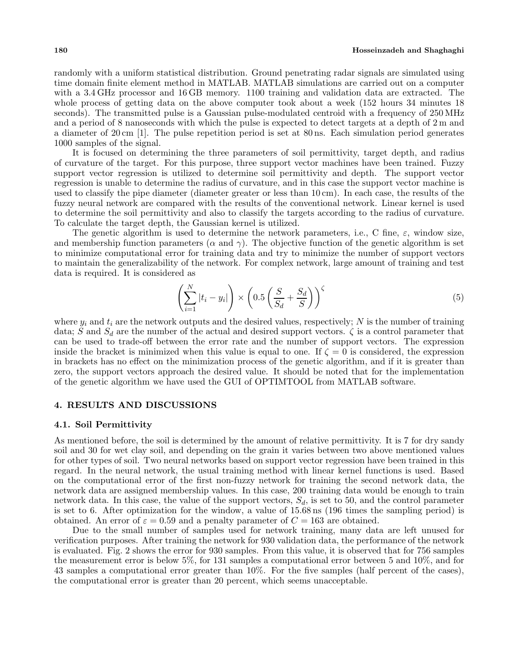randomly with a uniform statistical distribution. Ground penetrating radar signals are simulated using time domain finite element method in MATLAB. MATLAB simulations are carried out on a computer with a 3.4 GHz processor and 16 GB memory. 1100 training and validation data are extracted. The whole process of getting data on the above computer took about a week (152 hours 34 minutes 18 seconds). The transmitted pulse is a Gaussian pulse-modulated centroid with a frequency of 250 MHz and a period of 8 nanoseconds with which the pulse is expected to detect targets at a depth of 2 m and a diameter of 20 cm [1]. The pulse repetition period is set at 80 ns. Each simulation period generates 1000 samples of the signal.

It is focused on determining the three parameters of soil permittivity, target depth, and radius of curvature of the target. For this purpose, three support vector machines have been trained. Fuzzy support vector regression is utilized to determine soil permittivity and depth. The support vector regression is unable to determine the radius of curvature, and in this case the support vector machine is used to classify the pipe diameter (diameter greater or less than 10 cm). In each case, the results of the fuzzy neural network are compared with the results of the conventional network. Linear kernel is used to determine the soil permittivity and also to classify the targets according to the radius of curvature. To calculate the target depth, the Gaussian kernel is utilized.

The genetic algorithm is used to determine the network parameters, i.e., C fine,  $\varepsilon$ , window size, and membership function parameters ( $\alpha$  and  $\gamma$ ). The objective function of the genetic algorithm is set to minimize computational error for training data and try to minimize the number of support vectors to maintain the generalizability of the network. For complex network, large amount of training and test data is required. It is considered as

$$
\left(\sum_{i=1}^{N} |t_i - y_i|\right) \times \left(0.5\left(\frac{S}{S_d} + \frac{S_d}{S}\right)\right)^{\zeta}
$$
\n(5)

where  $y_i$  and  $t_i$  are the network outputs and the desired values, respectively; N is the number of training data; S and  $S_d$  are the number of the actual and desired support vectors.  $\zeta$  is a control parameter that can be used to trade-off between the error rate and the number of support vectors. The expression inside the bracket is minimized when this value is equal to one. If  $\zeta = 0$  is considered, the expression in brackets has no effect on the minimization process of the genetic algorithm, and if it is greater than zero, the support vectors approach the desired value. It should be noted that for the implementation of the genetic algorithm we have used the GUI of OPTIMTOOL from MATLAB software.

# **4. RESULTS AND DISCUSSIONS**

#### **4.1. Soil Permittivity**

As mentioned before, the soil is determined by the amount of relative permittivity. It is 7 for dry sandy soil and 30 for wet clay soil, and depending on the grain it varies between two above mentioned values for other types of soil. Two neural networks based on support vector regression have been trained in this regard. In the neural network, the usual training method with linear kernel functions is used. Based on the computational error of the first non-fuzzy network for training the second network data, the network data are assigned membership values. In this case, 200 training data would be enough to train network data. In this case, the value of the support vectors,  $S_d$ , is set to 50, and the control parameter is set to 6. After optimization for the window, a value of 15.68 ns (196 times the sampling period) is obtained. An error of  $\varepsilon = 0.59$  and a penalty parameter of  $C = 163$  are obtained.

Due to the small number of samples used for network training, many data are left unused for verification purposes. After training the network for 930 validation data, the performance of the network is evaluated. Fig. 2 shows the error for 930 samples. From this value, it is observed that for 756 samples the measurement error is below 5%, for 131 samples a computational error between 5 and 10%, and for 43 samples a computational error greater than 10%. For the five samples (half percent of the cases), the computational error is greater than 20 percent, which seems unacceptable.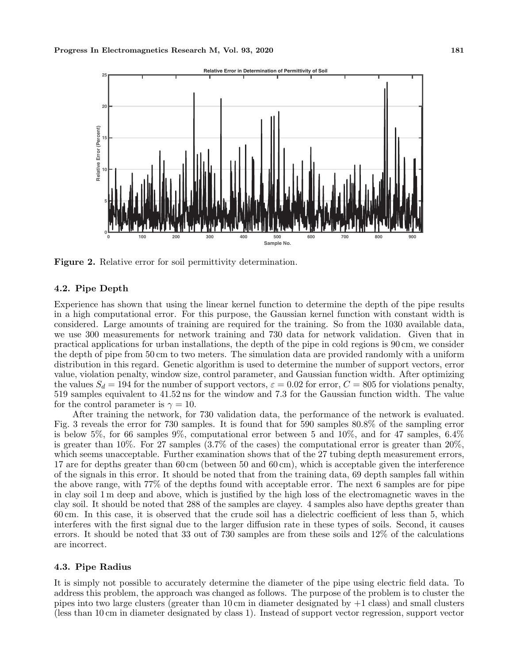

**Figure 2.** Relative error for soil permittivity determination.

# **4.2. Pipe Depth**

Experience has shown that using the linear kernel function to determine the depth of the pipe results in a high computational error. For this purpose, the Gaussian kernel function with constant width is considered. Large amounts of training are required for the training. So from the 1030 available data, we use 300 measurements for network training and 730 data for network validation. Given that in practical applications for urban installations, the depth of the pipe in cold regions is 90 cm, we consider the depth of pipe from 50 cm to two meters. The simulation data are provided randomly with a uniform distribution in this regard. Genetic algorithm is used to determine the number of support vectors, error value, violation penalty, window size, control parameter, and Gaussian function width. After optimizing the values  $S_d = 194$  for the number of support vectors,  $\varepsilon = 0.02$  for error,  $C = 805$  for violations penalty, 519 samples equivalent to 41.52 ns for the window and 7.3 for the Gaussian function width. The value for the control parameter is  $\gamma = 10$ .

After training the network, for 730 validation data, the performance of the network is evaluated. Fig. 3 reveals the error for 730 samples. It is found that for 590 samples 80.8% of the sampling error is below 5%, for 66 samples 9%, computational error between 5 and 10%, and for 47 samples,  $6.4\%$ is greater than 10%. For 27 samples (3.7% of the cases) the computational error is greater than 20%, which seems unacceptable. Further examination shows that of the 27 tubing depth measurement errors, 17 are for depths greater than 60 cm (between 50 and 60 cm), which is acceptable given the interference of the signals in this error. It should be noted that from the training data, 69 depth samples fall within the above range, with 77% of the depths found with acceptable error. The next 6 samples are for pipe in clay soil 1 m deep and above, which is justified by the high loss of the electromagnetic waves in the clay soil. It should be noted that 288 of the samples are clayey. 4 samples also have depths greater than 60 cm. In this case, it is observed that the crude soil has a dielectric coefficient of less than 5, which interferes with the first signal due to the larger diffusion rate in these types of soils. Second, it causes errors. It should be noted that 33 out of 730 samples are from these soils and 12% of the calculations are incorrect.

#### **4.3. Pipe Radius**

It is simply not possible to accurately determine the diameter of the pipe using electric field data. To address this problem, the approach was changed as follows. The purpose of the problem is to cluster the pipes into two large clusters (greater than 10 cm in diameter designated by  $+1$  class) and small clusters (less than 10 cm in diameter designated by class 1). Instead of support vector regression, support vector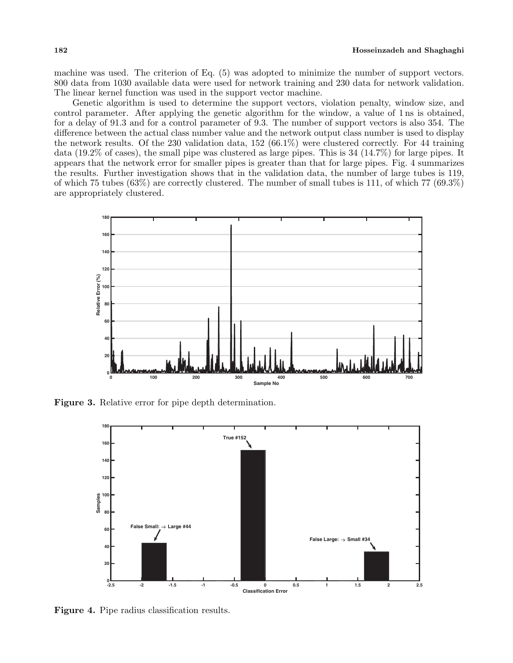machine was used. The criterion of Eq. (5) was adopted to minimize the number of support vectors. 800 data from 1030 available data were used for network training and 230 data for network validation. The linear kernel function was used in the support vector machine.

Genetic algorithm is used to determine the support vectors, violation penalty, window size, and control parameter. After applying the genetic algorithm for the window, a value of 1 ns is obtained, for a delay of 91.3 and for a control parameter of 9.3. The number of support vectors is also 354. The difference between the actual class number value and the network output class number is used to display the network results. Of the 230 validation data, 152 (66.1%) were clustered correctly. For 44 training data (19.2% of cases), the small pipe was clustered as large pipes. This is  $34$  (14.7%) for large pipes. It appears that the network error for smaller pipes is greater than that for large pipes. Fig. 4 summarizes the results. Further investigation shows that in the validation data, the number of large tubes is 119, of which 75 tubes (63%) are correctly clustered. The number of small tubes is 111, of which 77 (69.3%) are appropriately clustered.



**Figure 3.** Relative error for pipe depth determination.



**Figure 4.** Pipe radius classification results.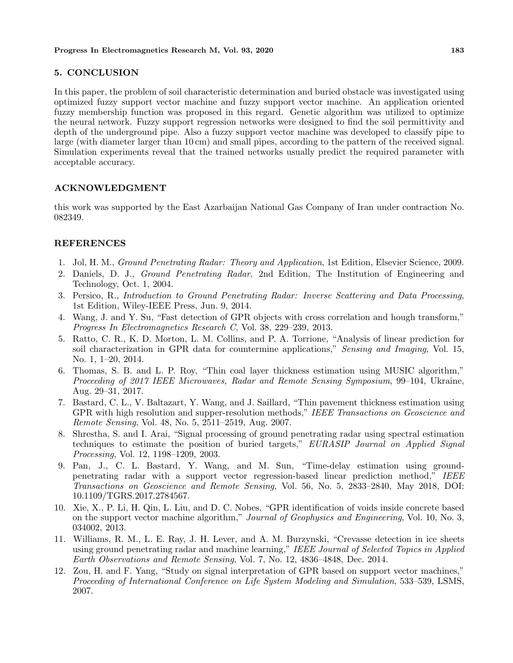# **5. CONCLUSION**

In this paper, the problem of soil characteristic determination and buried obstacle was investigated using optimized fuzzy support vector machine and fuzzy support vector machine. An application oriented fuzzy membership function was proposed in this regard. Genetic algorithm was utilized to optimize the neural network. Fuzzy support regression networks were designed to find the soil permittivity and depth of the underground pipe. Also a fuzzy support vector machine was developed to classify pipe to large (with diameter larger than 10 cm) and small pipes, according to the pattern of the received signal. Simulation experiments reveal that the trained networks usually predict the required parameter with acceptable accuracy.

# **ACKNOWLEDGMENT**

this work was supported by the East Azarbaijan National Gas Company of Iran under contraction No. 082349.

### **REFERENCES**

- 1. Jol, H. M., *Ground Penetrating Radar: Theory and Application*, 1st Edition, Elsevier Science, 2009.
- 2. Daniels, D. J., *Ground Penetrating Radar*, 2nd Edition, The Institution of Engineering and Technology, Oct. 1, 2004.
- 3. Persico, R., *Introduction to Ground Penetrating Radar: Inverse Scattering and Data Processing*, 1st Edition, Wiley-IEEE Press, Jun. 9, 2014.
- 4. Wang, J. and Y. Su, "Fast detection of GPR objects with cross correlation and hough transform," *Progress In Electromagnetics Research C*, Vol. 38, 229–239, 2013.
- 5. Ratto, C. R., K. D. Morton, L. M. Collins, and P. A. Torrione, "Analysis of linear prediction for soil characterization in GPR data for countermine applications," *Sensing and Imaging*, Vol. 15, No. 1, 1–20, 2014.
- 6. Thomas, S. B. and L. P. Roy, "Thin coal layer thickness estimation using MUSIC algorithm," *Proceeding of 2017 IEEE Microwaves, Radar and Remote Sensing Symposium*, 99–104, Ukraine, Aug. 29–31, 2017.
- 7. Bastard, C. L., V. Baltazart, Y. Wang, and J. Saillard, "Thin pavement thickness estimation using GPR with high resolution and supper-resolution methods," *IEEE Transactions on Geoscience and Remote Sensing*, Vol. 48, No. 5, 2511–2519, Aug. 2007.
- 8. Shrestha, S. and I. Arai, "Signal processing of ground penetrating radar using spectral estimation techniques to estimate the position of buried targets," *EURASIP Journal on Applied Signal Processing*, Vol. 12, 1198–1209, 2003.
- 9. Pan, J., C. L. Bastard, Y. Wang, and M. Sun, "Time-delay estimation using groundpenetrating radar with a support vector regression-based linear prediction method," *IEEE Transactions on Geoscience and Remote Sensing*, Vol. 56, No. 5, 2833–2840, May 2018, DOI: 10.1109/TGRS.2017.2784567.
- 10. Xie, X., P. Li, H. Qin, L. Liu, and D. C. Nobes, "GPR identification of voids inside concrete based on the support vector machine algorithm," *Journal of Geophysics and Engineering*, Vol. 10, No. 3, 034002, 2013.
- 11. Williams, R. M., L. E. Ray, J. H. Lever, and A. M. Burzynski, "Crevasse detection in ice sheets using ground penetrating radar and machine learning," *IEEE Journal of Selected Topics in Applied Earth Observations and Remote Sensing*, Vol. 7, No. 12, 4836–4848, Dec. 2014.
- 12. Zou, H. and F. Yang, "Study on signal interpretation of GPR based on support vector machines," *Proceeding of International Conference on Life System Modeling and Simulation*, 533–539, LSMS, 2007.